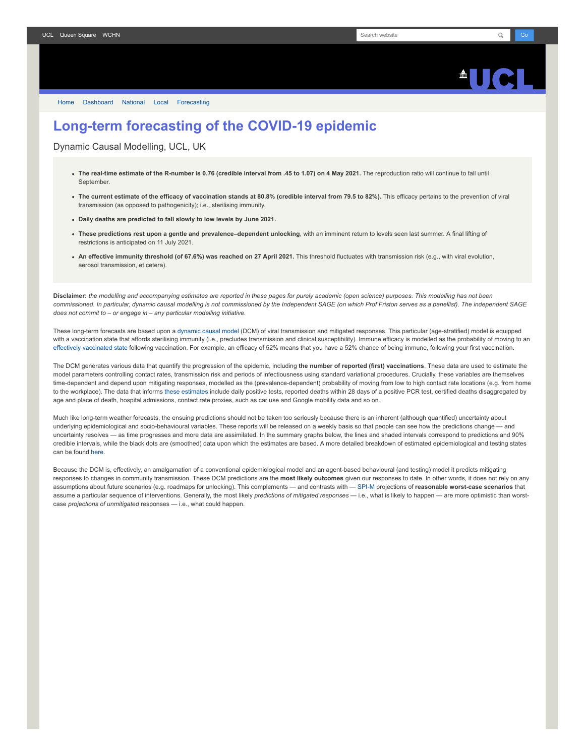

[Home](https://www.fil.ion.ucl.ac.uk/spm/covid-19/) [Dashboard](https://www.fil.ion.ucl.ac.uk/spm/covid-19/dashboard/) [National](https://www.fil.ion.ucl.ac.uk/spm/covid-19/dashboard/) [Local](https://www.fil.ion.ucl.ac.uk/spm/covid-19/dashboard/local/) [Forecasting](https://www.fil.ion.ucl.ac.uk/spm/covid-19/forecasting/)

## **Long-term forecasting of the COVID-19 epidemic**

Dynamic Causal Modelling, UCL, UK

- **The real-time estimate of the R-number is 0.76 (credible interval from .45 to 1.07) on 4 May 2021.** The reproduction ratio will continue to fall until September.
- The current estimate of the efficacy of vaccination stands at 80.8% (credible interval from 79.5 to 82%). This efficacy pertains to the prevention of viral transmission (as opposed to pathogenicity); i.e., sterilising immunity.
- **Daily deaths are predicted to fall slowly to low levels by June 2021.**
- **These predictions rest upon a gentle and prevalence–dependent unlocking**, with an imminent return to levels seen last summer. A final lifting of restrictions is anticipated on 11 July 2021.
- **An effective immunity threshold (of 67.6%) was reached on 27 April 2021.** This threshold fluctuates with transmission risk (e.g., with viral evolution, aerosol transmission, et cetera).

**Disclaimer:** *the modelling and accompanying estimates are reported in these pages for purely academic (open science) purposes. This modelling has not been commissioned. In particular, dynamic causal modelling is not commissioned by the Independent SAGE (on which Prof Friston serves as a panellist). The independent SAGE does not commit to – or engage in – any particular modelling initiative.*

These long-term forecasts are based upon a [dynamic causal model](https://www.fil.ion.ucl.ac.uk/spm/covid-19) (DCM) of viral transmission and mitigated responses. This particular (age-stratified) model is equipped with a vaccination state that affords sterilising immunity (i.e., precludes transmission and clinical susceptibility). Immune efficacy is modelled as the probability of moving to an [effectively vaccinated state](https://www.medrxiv.org/content/10.1101/2021.01.10.21249520v1) following vaccination. For example, an efficacy of 52% means that you have a 52% chance of being immune, following your first vaccination.

The DCM generates various data that quantify the progression of the epidemic, including **the number of reported (first) vaccinations**. These data are used to estimate the model parameters controlling contact rates, transmission risk and periods of infectiousness using standard variational procedures. Crucially, these variables are themselves time-dependent and depend upon mitigating responses, modelled as the (prevalence-dependent) probability of moving from low to high contact rate locations (e.g. from home to the workplace). The data that informs [these estimates](https://www.fil.ion.ucl.ac.uk/spm/covid-19/dashboard/) include daily positive tests, reported deaths within 28 days of a positive PCR test, certified deaths disaggregated by age and place of death, hospital admissions, contact rate proxies, such as car use and Google mobility data and so on.

Much like long-term weather forecasts, the ensuing predictions should not be taken too seriously because there is an inherent (although quantified) uncertainty about underlying epidemiological and socio-behavioural variables. These reports will be released on a weekly basis so that people can see how the predictions change — and uncertainty resolves — as time progresses and more data are assimilated. In the summary graphs below, the lines and shaded intervals correspond to predictions and 90% credible intervals, while the black dots are (smoothed) data upon which the estimates are based. A more detailed breakdown of estimated epidemiological and testing states can be found [here](https://www.fil.ion.ucl.ac.uk/spm/covid-19/dashboard/).

Because the DCM is, effectively, an amalgamation of a conventional epidemiological model and an agent-based behavioural (and testing) model it predicts mitigating responses to changes in community transmission. These DCM predictions are the **most likely outcomes** given our responses to date. In other words, it does not rely on any assumptions about future scenarios (e.g. roadmaps for unlocking). This complements — and contrasts with — [SPI-M](https://www.gov.uk/government/groups/scientific-pandemic-influenza-subgroup-on-modelling) projections of **reasonable worst-case scenarios** that assume a particular sequence of interventions. Generally, the most likely *predictions of mitigated responses* — i.e., what is likely to happen — are more optimistic than worstcase *projections of unmitigated* responses — i.e., what could happen.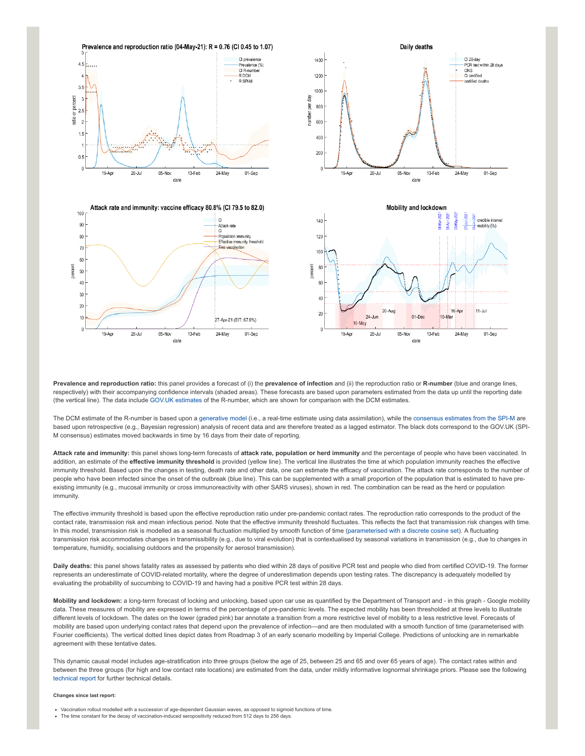

**Prevalence and reproduction ratio:** this panel provides a forecast of (i) the **prevalence of infection** and (ii) the reproduction ratio or **R-number** (blue and orange lines, respectively) with their accompanying confidence intervals (shaded areas). These forecasts are based upon parameters estimated from the data up until the reporting date (the vertical line). The data include [GOV.UK estimates](https://www.gov.uk/guidance/the-r-number-in-the-uk#latest-r-and-growth-rate) of the R-number, which are shown for comparison with the DCM estimates.

The DCM estimate of the R-number is based upon a [generative model](https://en.wikipedia.org/wiki/Generative_model) (i.e., a real-time estimate using data assimilation), while the [consensus estimates from the SPI-M](https://www.gov.uk/guidance/the-r-number-in-the-uk#contents) are based upon retrospective (e.g., Bayesian regression) analysis of recent data and are therefore treated as a lagged estimator. The black dots correspond to the GOV.UK (SPI-M consensus) estimates moved backwards in time by 16 days from their date of reporting.

**Attack rate and immunity:** this panel shows long-term forecasts of **attack rate, population or herd immunity** and the percentage of people who have been vaccinated. In addition, an estimate of the *effective immunity threshold* is provided (yellow line). The vertical line illustrates the time at which population immunity reaches the effective immunity threshold. Based upon the changes in testing, death rate and other data, one can estimate the efficacy of vaccination. The attack rate corresponds to the number of people who have been infected since the onset of the outbreak (blue line). This can be supplemented with a small proportion of the population that is estimated to have preexisting immunity (e.g., mucosal immunity or cross immunoreactivity with other SARS viruses), shown in red. The combination can be read as the herd or population immunity.

The effective immunity threshold is based upon the effective reproduction ratio under pre-pandemic contact rates. The reproduction ratio corresponds to the product of the contact rate, transmission risk and mean infectious period. Note that the effective immunity threshold fluctuates. This reflects the fact that transmission risk changes with time. In this model, transmission risk is modelled as a seasonal fluctuation multiplied by smooth function of time ([parameterised with a discrete cosine set](https://www.medrxiv.org/content/10.1101/2021.01.10.21249520v1)). A fluctuating transmission risk accommodates changes in transmissibility (e.g., due to viral evolution) that is contextualised by seasonal variations in transmission (e.g., due to changes in temperature, humidity, socialising outdoors and the propensity for aerosol transmission).

**Daily deaths:** this panel shows fatality rates as assessed by patients who died within 28 days of positive PCR test and people who died from certified COVID-19. The former represents an underestimate of COVID-related mortality, where the degree of underestimation depends upon testing rates. The discrepancy is adequately modelled by evaluating the probability of succumbing to COVID-19 and having had a positive PCR test within 28 days.

**Mobility and lockdown:** a long-term forecast of locking and unlocking, based upon car use as quantified by the Department of Transport and - in this graph - Google mobility data. These measures of mobility are expressed in terms of the percentage of pre-pandemic levels. The expected mobility has been thresholded at three levels to illustrate different levels of lockdown. The dates on the lower (graded pink) bar annotate a transition from a more restrictive level of mobility to a less restrictive level. Forecasts of mobility are based upon underlying contact rates that depend upon the prevalence of infection—and are then modulated with a smooth function of time (parameterised with Fourier coefficients). The vertical dotted lines depict dates from Roadmap 3 of an early scenario modelling by Imperial College. Predictions of unlocking are in remarkable agreement with these tentative dates.

This dynamic causal model includes age-stratification into three groups (below the age of 25, between 25 and 65 and over 65 years of age). The contact rates within and between the three groups (for high and low contact rate locations) are estimated from the data, under mildly informative lognormal shrinkage priors. Please see the following [technical report](https://arxiv.org/abs/2011.12400) for further technical details.

## **Changes since last report:**

- Vaccination rollout modelled with a succession of age-dependent Gaussian waves, as opposed to sigmoid functions of time.
- The time constant for the decay of vaccination-induced seropositivity reduced from 512 days to 256 days.